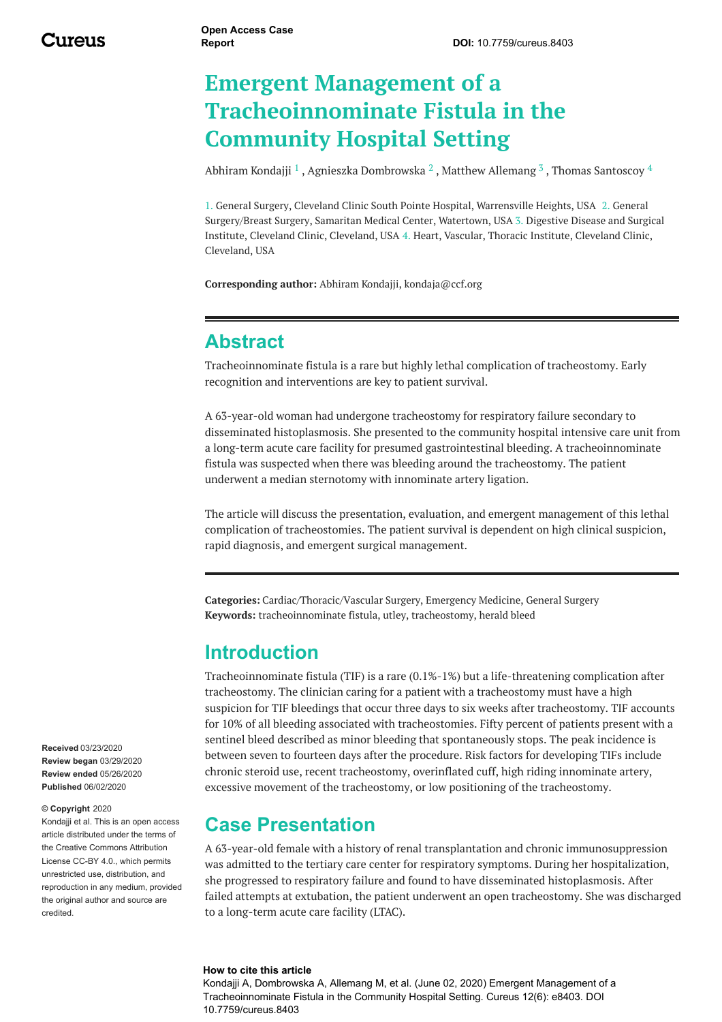# **Emergent Management of a Tracheoinnominate Fistula in the Community Hospital Setting**

[Abhiram](https://www.cureus.com/users/147213-abhiram-kondajji) Kondajji  $^1$  , Agnieszka [Dombrowska](https://www.cureus.com/users/148092-agnieszka-dombrowska)  $^2$  , Matthew [Allemang](https://www.cureus.com/users/148093-matthew-allemang)  $^3$  , Thomas [Santoscoy](https://www.cureus.com/users/148094-thomas-santoscoy)  $^4$ 

1. General Surgery, Cleveland Clinic South Pointe Hospital, Warrensville Heights, USA 2. General Surgery/Breast Surgery, Samaritan Medical Center, Watertown, USA 3. Digestive Disease and Surgical Institute, Cleveland Clinic, Cleveland, USA 4. Heart, Vascular, Thoracic Institute, Cleveland Clinic, Cleveland, USA

**Corresponding author:** Abhiram Kondajji, kondaja@ccf.org

#### **Abstract**

Tracheoinnominate fistula is a rare but highly lethal complication of tracheostomy. Early recognition and interventions are key to patient survival.

A 63-year-old woman had undergone tracheostomy for respiratory failure secondary to disseminated histoplasmosis. She presented to the community hospital intensive care unit from a long-term acute care facility for presumed gastrointestinal bleeding. A tracheoinnominate fistula was suspected when there was bleeding around the tracheostomy. The patient underwent a median sternotomy with innominate artery ligation.

The article will discuss the presentation, evaluation, and emergent management of this lethal complication of tracheostomies. The patient survival is dependent on high clinical suspicion, rapid diagnosis, and emergent surgical management.

**Categories:** Cardiac/Thoracic/Vascular Surgery, Emergency Medicine, General Surgery **Keywords:** tracheoinnominate fistula, utley, tracheostomy, herald bleed

#### **Introduction**

Tracheoinnominate fistula (TIF) is a rare (0.1%-1%) but a life-threatening complication after tracheostomy. The clinician caring for a patient with a tracheostomy must have a high suspicion for TIF bleedings that occur three days to six weeks after tracheostomy. TIF accounts for 10% of all bleeding associated with tracheostomies. Fifty percent of patients present with a sentinel bleed described as minor bleeding that spontaneously stops. The peak incidence is between seven to fourteen days after the procedure. Risk factors for developing TIFs include chronic steroid use, recent tracheostomy, overinflated cuff, high riding innominate artery, excessive movement of the tracheostomy, or low positioning of the tracheostomy.

#### **Case Presentation**

A 63-year-old female with a history of renal transplantation and chronic immunosuppression was admitted to the tertiary care center for respiratory symptoms. During her hospitalization, she progressed to respiratory failure and found to have disseminated histoplasmosis. After failed attempts at extubation, the patient underwent an open tracheostomy. She was discharged to a long-term acute care facility (LTAC).

#### **How to cite this article**

Kondajji A, Dombrowska A, Allemang M, et al. (June 02, 2020) Emergent Management of a Tracheoinnominate Fistula in the Community Hospital Setting. Cureus 12(6): e8403. DOI 10.7759/cureus.8403

**Received** 03/23/2020 **Review began** 03/29/2020 **Review ended** 05/26/2020 **Published** 06/02/2020

#### **© Copyright** 2020

Kondajij et al. This is an open access article distributed under the terms of the Creative Commons Attribution License CC-BY 4.0., which permits unrestricted use, distribution, and reproduction in any medium, provided the original author and source are credited.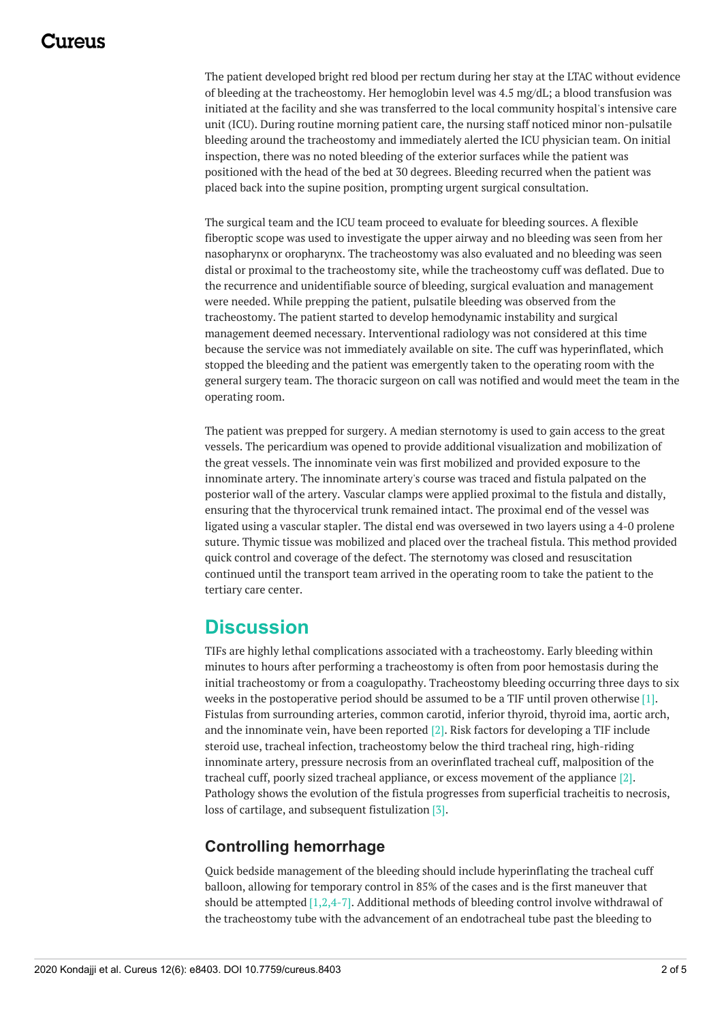## 117A119

The patient developed bright red blood per rectum during her stay at the LTAC without evidence of bleeding at the tracheostomy. Her hemoglobin level was 4.5 mg/dL; a blood transfusion was initiated at the facility and she was transferred to the local community hospital's intensive care unit (ICU). During routine morning patient care, the nursing staff noticed minor non-pulsatile bleeding around the tracheostomy and immediately alerted the ICU physician team. On initial inspection, there was no noted bleeding of the exterior surfaces while the patient was positioned with the head of the bed at 30 degrees. Bleeding recurred when the patient was placed back into the supine position, prompting urgent surgical consultation.

The surgical team and the ICU team proceed to evaluate for bleeding sources. A flexible fiberoptic scope was used to investigate the upper airway and no bleeding was seen from her nasopharynx or oropharynx. The tracheostomy was also evaluated and no bleeding was seen distal or proximal to the tracheostomy site, while the tracheostomy cuff was deflated. Due to the recurrence and unidentifiable source of bleeding, surgical evaluation and management were needed. While prepping the patient, pulsatile bleeding was observed from the tracheostomy. The patient started to develop hemodynamic instability and surgical management deemed necessary. Interventional radiology was not considered at this time because the service was not immediately available on site. The cuff was hyperinflated, which stopped the bleeding and the patient was emergently taken to the operating room with the general surgery team. The thoracic surgeon on call was notified and would meet the team in the operating room.

The patient was prepped for surgery. A median sternotomy is used to gain access to the great vessels. The pericardium was opened to provide additional visualization and mobilization of the great vessels. The innominate vein was first mobilized and provided exposure to the innominate artery. The innominate artery's course was traced and fistula palpated on the posterior wall of the artery. Vascular clamps were applied proximal to the fistula and distally, ensuring that the thyrocervical trunk remained intact. The proximal end of the vessel was ligated using a vascular stapler. The distal end was oversewed in two layers using a 4-0 prolene suture. Thymic tissue was mobilized and placed over the tracheal fistula. This method provided quick control and coverage of the defect. The sternotomy was closed and resuscitation continued until the transport team arrived in the operating room to take the patient to the tertiary care center.

## **Discussion**

TIFs are highly lethal complications associated with a tracheostomy. Early bleeding within minutes to hours after performing a tracheostomy is often from poor hemostasis during the initial tracheostomy or from a coagulopathy. Tracheostomy bleeding occurring three days to six weeks in the postoperative period should be assumed to be a TIF until proven otherwise [1]. Fistulas from surrounding arteries, common carotid, inferior thyroid, thyroid ima, aortic arch, and the innominate vein, have been reported [2]. Risk factors for developing a TIF include steroid use, tracheal infection, tracheostomy below the third tracheal ring, high-riding innominate artery, pressure necrosis from an overinflated tracheal cuff, malposition of the tracheal cuff, poorly sized tracheal appliance, or excess movement of the appliance [2]. Pathology shows the evolution of the fistula progresses from superficial tracheitis to necrosis, loss of cartilage, and subsequent fistulization [3].

#### **Controlling hemorrhage**

Quick bedside management of the bleeding should include hyperinflating the tracheal cuff balloon, allowing for temporary control in 85% of the cases and is the first maneuver that should be attempted  $[1,2,4-7]$ . Additional methods of bleeding control involve withdrawal of the tracheostomy tube with the advancement of an endotracheal tube past the bleeding to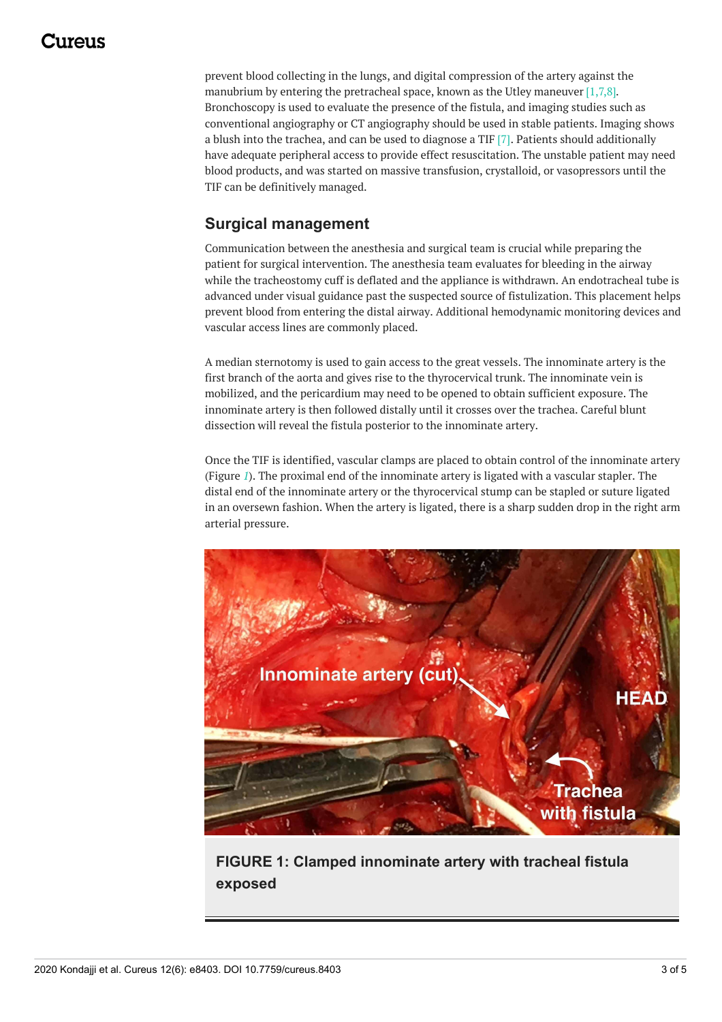## 117A119

prevent blood collecting in the lungs, and digital compression of the artery against the manubrium by entering the pretracheal space, known as the Utley maneuver [1,7,8]. Bronchoscopy is used to evaluate the presence of the fistula, and imaging studies such as conventional angiography or CT angiography should be used in stable patients. Imaging shows a blush into the trachea, and can be used to diagnose a TIF [7]. Patients should additionally have adequate peripheral access to provide effect resuscitation. The unstable patient may need blood products, and was started on massive transfusion, crystalloid, or vasopressors until the TIF can be definitively managed.

#### **Surgical management**

Communication between the anesthesia and surgical team is crucial while preparing the patient for surgical intervention. The anesthesia team evaluates for bleeding in the airway while the tracheostomy cuff is deflated and the appliance is withdrawn. An endotracheal tube is advanced under visual guidance past the suspected source of fistulization. This placement helps prevent blood from entering the distal airway. Additional hemodynamic monitoring devices and vascular access lines are commonly placed.

A median sternotomy is used to gain access to the great vessels. The innominate artery is the first branch of the aorta and gives rise to the thyrocervical trunk. The innominate vein is mobilized, and the pericardium may need to be opened to obtain sufficient exposure. The innominate artery is then followed distally until it crosses over the trachea. Careful blunt dissection will reveal the fistula posterior to the innominate artery.

Once the TIF is identified, vascular clamps are placed to obtain control of the innominate artery (Figure *[1](#page-2-0)*). The proximal end of the innominate artery is ligated with a vascular stapler. The distal end of the innominate artery or the thyrocervical stump can be stapled or suture ligated in an oversewn fashion. When the artery is ligated, there is a sharp sudden drop in the right arm arterial pressure.

<span id="page-2-0"></span>

**FIGURE 1: Clamped innominate artery with tracheal fistula exposed**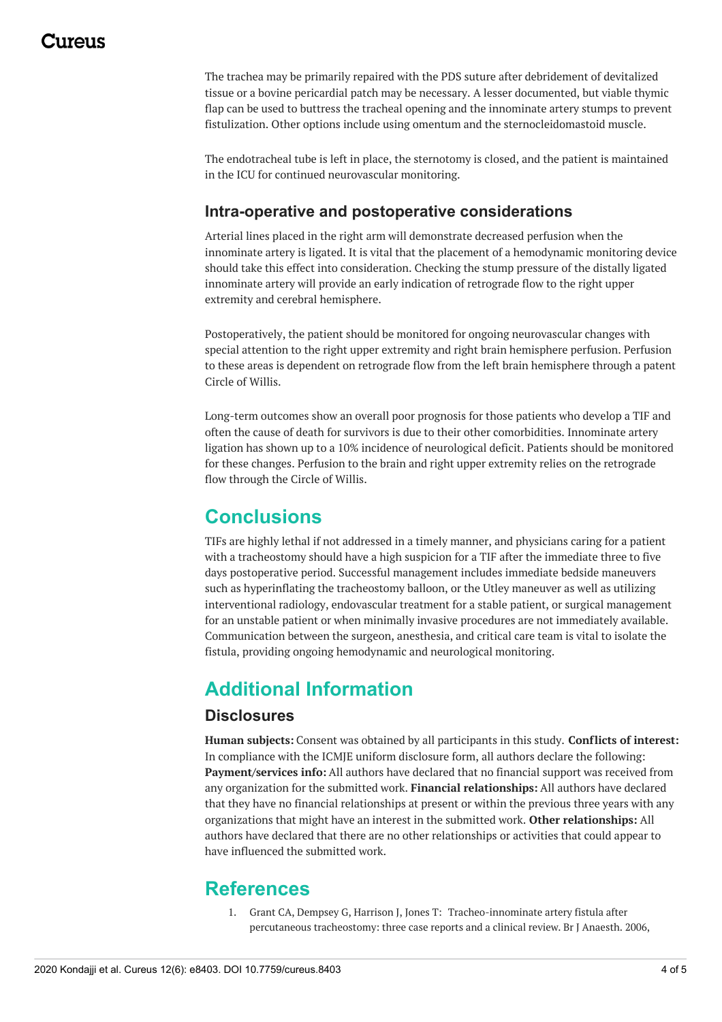## 1174110

The trachea may be primarily repaired with the PDS suture after debridement of devitalized tissue or a bovine pericardial patch may be necessary. A lesser documented, but viable thymic flap can be used to buttress the tracheal opening and the innominate artery stumps to prevent fistulization. Other options include using omentum and the sternocleidomastoid muscle.

The endotracheal tube is left in place, the sternotomy is closed, and the patient is maintained in the ICU for continued neurovascular monitoring.

#### **Intra-operative and postoperative considerations**

Arterial lines placed in the right arm will demonstrate decreased perfusion when the innominate artery is ligated. It is vital that the placement of a hemodynamic monitoring device should take this effect into consideration. Checking the stump pressure of the distally ligated innominate artery will provide an early indication of retrograde flow to the right upper extremity and cerebral hemisphere.

Postoperatively, the patient should be monitored for ongoing neurovascular changes with special attention to the right upper extremity and right brain hemisphere perfusion. Perfusion to these areas is dependent on retrograde flow from the left brain hemisphere through a patent Circle of Willis.

Long-term outcomes show an overall poor prognosis for those patients who develop a TIF and often the cause of death for survivors is due to their other comorbidities. Innominate artery ligation has shown up to a 10% incidence of neurological deficit. Patients should be monitored for these changes. Perfusion to the brain and right upper extremity relies on the retrograde flow through the Circle of Willis.

## **Conclusions**

TIFs are highly lethal if not addressed in a timely manner, and physicians caring for a patient with a tracheostomy should have a high suspicion for a TIF after the immediate three to five days postoperative period. Successful management includes immediate bedside maneuvers such as hyperinflating the tracheostomy balloon, or the Utley maneuver as well as utilizing interventional radiology, endovascular treatment for a stable patient, or surgical management for an unstable patient or when minimally invasive procedures are not immediately available. Communication between the surgeon, anesthesia, and critical care team is vital to isolate the fistula, providing ongoing hemodynamic and neurological monitoring.

## **Additional Information**

#### **Disclosures**

**Human subjects:** Consent was obtained by all participants in this study. **Conflicts of interest:** In compliance with the ICMJE uniform disclosure form, all authors declare the following: **Payment/services info:** All authors have declared that no financial support was received from any organization for the submitted work. **Financial relationships:** All authors have declared that they have no financial relationships at present or within the previous three years with any organizations that might have an interest in the submitted work. **Other relationships:** All authors have declared that there are no other relationships or activities that could appear to have influenced the submitted work.

#### **References**

1. Grant CA, Dempsey G, Harrison J, Jones T: [Tracheo-innominate](https://dx.doi.org/https://doi.org/10.1093/bja/aei282) artery fistula after percutaneous tracheostomy: three case reports and a clinical review. Br J Anaesth. 2006,